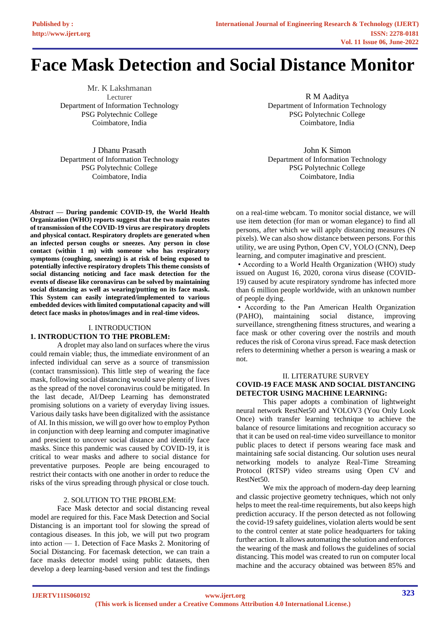# **Face Mask Detection and Social Distance Monitor**

Mr. K Lakshmanan Lecturer Department of Information Technology PSG Polytechnic College Coimbatore, India

J Dhanu Prasath Department of Information Technology PSG Polytechnic College Coimbatore, India

*Abstract —* **During pandemic COVID-19, the World Health Organization (WHO) reports suggest that the two main routes of transmission of the COVID-19 virus are respiratory droplets and physical contact. Respiratory droplets are generated when an infected person coughs or sneezes. Any person in close contact (within 1 m) with someone who has respiratory symptoms (coughing, sneezing) is at risk of being exposed to potentially infective respiratory droplets This theme consists of social distancing noticing and face mask detection for the events of disease like coronavirus can be solved by maintaining social distancing as well as wearing/putting on its face mask. This System can easily integrated/implemented to various embedded devices with limited computational capacity and will detect face masks in photos/images and in real-time videos.**

#### I. INTRODUCTION

# **1. INTRODUCTION TO THE PROBLEM:**

A droplet may also land on surfaces where the virus could remain viable; thus, the immediate environment of an infected individual can serve as a source of transmission (contact transmission). This little step of wearing the face mask, following social distancing would save plenty of lives as the spread of the novel coronavirus could be mitigated. In the last decade, AI/Deep Learning has demonstrated promising solutions on a variety of everyday living issues. Various daily tasks have been digitalized with the assistance of AI. In this mission, we will go over how to employ Python in conjunction with deep learning and computer imaginative and prescient to uncover social distance and identify face masks. Since this pandemic was caused by COVID-19, it is critical to wear masks and adhere to social distance for preventative purposes. People are being encouraged to restrict their contacts with one another in order to reduce the risks of the virus spreading through physical or close touch.

## 2. SOLUTION TO THE PROBLEM:

Face Mask detector and social distancing reveal model are required for this. Face Mask Detection and Social Distancing is an important tool for slowing the spread of contagious diseases. In this job, we will put two program into action — 1. Detection of Face Masks 2. Monitoring of Social Distancing. For facemask detection, we can train a face masks detector model using public datasets, then develop a deep learning-based version and test the findings

R M Aaditya Department of Information Technology PSG Polytechnic College Coimbatore, India

John K Simon Department of Information Technology PSG Polytechnic College Coimbatore, India

on a real-time webcam. To monitor social distance, we will use item detection (for man or woman elegance) to find all persons, after which we will apply distancing measures (N pixels). We can also show distance between persons. For this utility, we are using Python, Open CV, YOLO (CNN), Deep learning, and computer imaginative and prescient.

• According to a World Health Organization (WHO) study issued on August 16, 2020, corona virus disease (COVID-19) caused by acute respiratory syndrome has infected more than 6 million people worldwide, with an unknown number of people dying.

• According to the Pan American Health Organization (PAHO), maintaining social distance, improving surveillance, strengthening fitness structures, and wearing a face mask or other covering over the nostrils and mouth reduces the risk of Corona virus spread. Face mask detection refers to determining whether a person is wearing a mask or not.

#### II. LITERATURE SURVEY **COVID-19 FACE MASK AND SOCIAL DISTANCING DETECTOR USING MACHINE LEARNING:**

This paper adopts a combination of lightweight neural network RestNet50 and YOLOV3 (You Only Look Once) with transfer learning technique to achieve the balance of resource limitations and recognition accuracy so that it can be used on real-time video surveillance to monitor public places to detect if persons wearing face mask and maintaining safe social distancing. Our solution uses neural networking models to analyze Real-Time Streaming Protocol (RTSP) video streams using Open CV and RestNet50.

We mix the approach of modern-day deep learning and classic projective geometry techniques, which not only helps to meet the real-time requirements, but also keeps high prediction accuracy. If the person detected as not following the covid-19 safety guidelines, violation alerts would be sent to the control center at state police headquarters for taking further action. It allows automating the solution and enforces the wearing of the mask and follows the guidelines of social distancing. This model was created to run on computer local machine and the accuracy obtained was between 85% and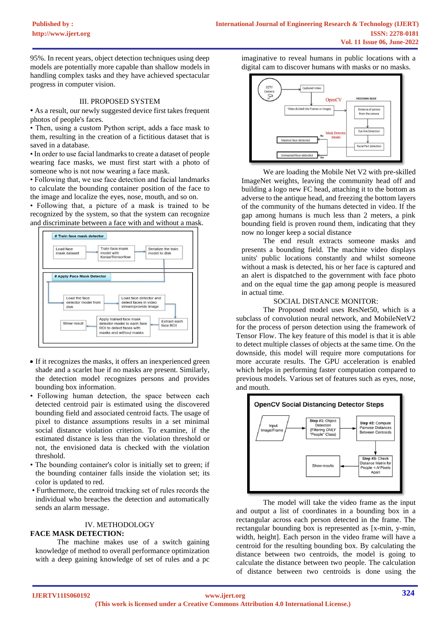95%. In recent years, object detection techniques using deep models are potentially more capable than shallow models in handling complex tasks and they have achieved spectacular progress in computer vision.

#### III. PROPOSED SYSTEM

• As a result, our newly suggested device first takes frequent photos of people's faces.

• Then, using a custom Python script, adds a face mask to them, resulting in the creation of a fictitious dataset that is saved in a database.

• In order to use facial landmarks to create a dataset of people wearing face masks, we must first start with a photo of someone who is not now wearing a face mask.

• Following that, we use face detection and facial landmarks to calculate the bounding container position of the face to the image and localize the eyes, nose, mouth, and so on.

• Following that, a picture of a mask is trained to be recognized by the system, so that the system can recognize and discriminate between a face with and without a mask.



- If it recognizes the masks, it offers an inexperienced green shade and a scarlet hue if no masks are present. Similarly, the detection model recognizes persons and provides bounding box information.
- Following human detection, the space between each detected centroid pair is estimated using the discovered bounding field and associated centroid facts. The usage of pixel to distance assumptions results in a set minimal social distance violation criterion. To examine, if the estimated distance is less than the violation threshold or not, the envisioned data is checked with the violation threshold.
- The bounding container's color is initially set to green; if the bounding container falls inside the violation set; its color is updated to red.
- Furthermore, the centroid tracking set of rules records the individual who breaches the detection and automatically sends an alarm message.

## IV. METHODOLOGY

#### **FACE MASK DETECTION:**

The machine makes use of a switch gaining knowledge of method to overall performance optimization with a deep gaining knowledge of set of rules and a pc

imaginative to reveal humans in public locations with a digital cam to discover humans with masks or no masks.



We are loading the Mobile Net V2 with pre-skilled ImageNet weights, leaving the community head off and building a logo new FC head, attaching it to the bottom as adverse to the antique head, and freezing the bottom layers of the community of the humans detected in video. If the gap among humans is much less than 2 meters, a pink bounding field is proven round them, indicating that they now no longer keep a social distance

The end result extracts someone masks and presents a bounding field. The machine video displays units' public locations constantly and whilst someone without a mask is detected, his or her face is captured and an alert is dispatched to the government with face photo and on the equal time the gap among people is measured in actual time.

## SOCIAL DISTANCE MONITOR:

The Proposed model uses ResNet50, which is a subclass of convolution neural network, and MobileNetV2 for the process of person detection using the framework of Tensor Flow. The key feature of this model is that it is able to detect multiple classes of objects at the same time. On the downside, this model will require more computations for more accurate results. The GPU acceleration is enabled which helps in performing faster computation compared to previous models. Various set of features such as eyes, nose, and mouth.



The model will take the video frame as the input and output a list of coordinates in a bounding box in a rectangular across each person detected in the frame. The rectangular bounding box is represented as [x-min, y-min, width, height]. Each person in the video frame will have a centroid for the resulting bounding box. By calculating the distance between two centroids, the model is going to calculate the distance between two people. The calculation of distance between two centroids is done using the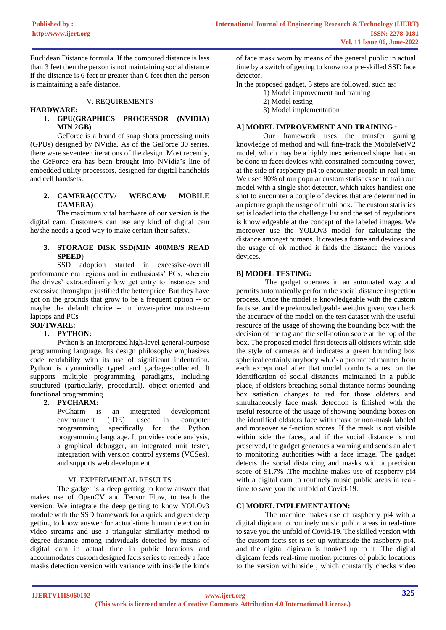Euclidean Distance formula. If the computed distance is less than 3 feet then the person is not maintaining social distance if the distance is 6 feet or greater than 6 feet then the person is maintaining a safe distance.

#### V. REQUIREMENTS

## **HARDWARE:**

# **1. GPU(GRAPHICS PROCESSOR (NVIDIA) MIN 2GB**)

GeForce is a brand of snap shots processing units (GPUs) designed by NVidia. As of the GeForce 30 series, there were seventeen iterations of the design. Most recently, the GeForce era has been brought into NVidia's line of embedded utility processors, designed for digital handhelds and cell handsets.

# **2. CAMERA(CCTV/ WEBCAM/ MOBILE CAMERA)**

The maximum vital hardware of our version is the digital cam. Customers can use any kind of digital cam he/she needs a good way to make certain their safety.

#### **3. STORAGE DISK SSD(MIN 400MB/S READ SPEED**)

SSD adoption started in excessive-overall performance era regions and in enthusiasts' PCs, wherein the drives' extraordinarily low get entry to instances and excessive throughput justified the better price. But they have got on the grounds that grow to be a frequent option -- or maybe the default choice -- in lower-price mainstream laptops and PCs

## **SOFTWARE:**

## **1. PYTHON:**

Python is an interpreted high-level general-purpose programming language. Its design philosophy emphasizes code readability with its use of significant indentation. Python is dynamically typed and garbage-collected. It supports multiple programming paradigms, including structured (particularly, procedural), object-oriented and functional programming.

# **2. PYCHARM:**

PyCharm is an integrated development environment (IDE) used in computer programming, specifically for the Python programming language. It provides code analysis, a graphical debugger, an integrated unit tester, integration with version control systems (VCSes), and supports web development.

## VI. EXPERIMENTAL RESULTS

The gadget is a deep getting to know answer that makes use of OpenCV and Tensor Flow, to teach the version. We integrate the deep getting to know YOLOv3 module with the SSD framework for a quick and green deep getting to know answer for actual-time human detection in video streams and use a triangular similarity method to degree distance among individuals detected by means of digital cam in actual time in public locations and accommodates custom designed facts series to remedy a face masks detection version with variance with inside the kinds

of face mask worn by means of the general public in actual time by a switch of getting to know to a pre-skilled SSD face detector.

In the proposed gadget, 3 steps are followed, such as:

- 1) Model improvement and training
- 2) Model testing
- 3) Model implementation

## **A] MODEL IMPROVEMENT AND TRAINING :**

Our framework uses the transfer gaining knowledge of method and will fine-track the MobileNetV2 model, which may be a highly inexperienced shape that can be done to facet devices with constrained computing power, at the side of raspberry pi4 to encounter people in real time. We used 80% of our popular custom statistics set to train our model with a single shot detector, which takes handiest one shot to encounter a couple of devices that are determined in an picture graph the usage of multi box. The custom statistics set is loaded into the challenge list and the set of regulations is knowledgeable at the concept of the labeled images. We moreover use the YOLOv3 model for calculating the distance amongst humans. It creates a frame and devices and the usage of ok method it finds the distance the various devices.

#### **B] MODEL TESTING:**

The gadget operates in an automated way and permits automatically perform the social distance inspection process. Once the model is knowledgeable with the custom facts set and the preknowledgeable weights given, we check the accuracy of the model on the test dataset with the useful resource of the usage of showing the bounding box with the decision of the tag and the self-notion score at the top of the box. The proposed model first detects all oldsters within side the style of cameras and indicates a green bounding box spherical certainly anybody who's a protracted manner from each exceptional after that model conducts a test on the identification of social distances maintained in a public place, if oldsters breaching social distance norms bounding box satiation changes to red for those oldsters and simultaneously face mask detection is finished with the useful resource of the usage of showing bounding boxes on the identified oldsters face with mask or non-mask labeled and moreover self-notion scores. If the mask is not visible within side the faces, and if the social distance is not preserved, the gadget generates a warning and sends an alert to monitoring authorities with a face image. The gadget detects the social distancing and masks with a precision score of 91.7% .The machine makes use of raspberry pi4 with a digital cam to routinely music public areas in realtime to save you the unfold of Covid-19.

#### **C] MODEL IMPLEMENTATION:**

The machine makes use of raspberry pi4 with a digital digicam to routinely music public areas in real-time to save you the unfold of Covid-19. The skilled version with the custom facts set is set up withinside the raspberry pi4, and the digital digicam is hooked up to it .The digital digicam feeds real-time motion pictures of public locations to the version withinside , which constantly checks video